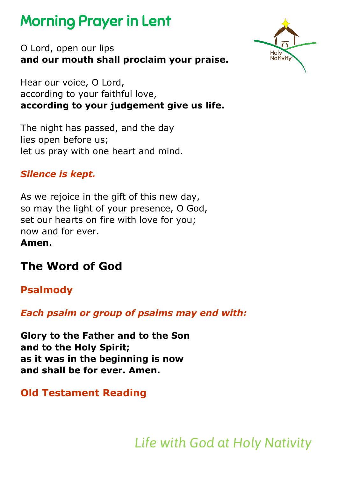# Morning Prayer in Lent



O Lord, open our lips **and our mouth shall proclaim your praise.**

Hear our voice, O Lord, according to your faithful love, **according to your judgement give us life.**

The night has passed, and the day lies open before us; let us pray with one heart and mind.

### *Silence is kept.*

As we rejoice in the gift of this new day, so may the light of your presence, O God, set our hearts on fire with love for you; now and for ever.

**Amen.**

# **The Word of God**

# **Psalmody**

*Each psalm or group of psalms may end with:*

**Glory to the Father and to the Son and to the Holy Spirit; as it was in the beginning is now and shall be for ever. Amen.** 

## **Old Testament Reading**

*Life with God at Holy Nativity*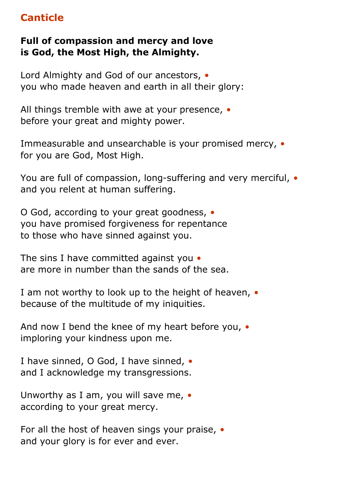# **Canticle**

#### **Full of compassion and mercy and love is God, the Most High, the Almighty.**

Lord Almighty and God of our ancestors, *•* you who made heaven and earth in all their glory:

All things tremble with awe at your presence, *•* before your great and mighty power.

Immeasurable and unsearchable is your promised mercy, *•* for you are God, Most High.

You are full of compassion, long-suffering and very merciful, *•* and you relent at human suffering.

O God, according to your great goodness, *•* you have promised forgiveness for repentance to those who have sinned against you.

The sins I have committed against you *•* are more in number than the sands of the sea.

I am not worthy to look up to the height of heaven, *•* because of the multitude of my iniquities.

And now I bend the knee of my heart before you, *•* imploring your kindness upon me.

I have sinned, O God, I have sinned, *•* and I acknowledge my transgressions.

Unworthy as I am, you will save me, *•* according to your great mercy.

For all the host of heaven sings your praise, *•* and your glory is for ever and ever.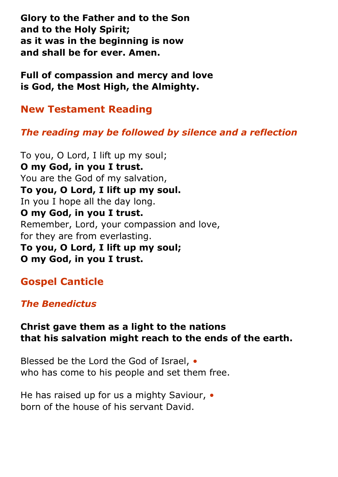**Glory to the Father and to the Son and to the Holy Spirit; as it was in the beginning is now and shall be for ever. Amen.**

**Full of compassion and mercy and love is God, the Most High, the Almighty.** 

**New Testament Reading**

#### *The reading may be followed by silence and a reflection*

To you, O Lord, I lift up my soul; **O my God, in you I trust.** You are the God of my salvation, **To you, O Lord, I lift up my soul.** In you I hope all the day long. **O my God, in you I trust.** Remember, Lord, your compassion and love, for they are from everlasting. **To you, O Lord, I lift up my soul; O my God, in you I trust.**

#### **Gospel Canticle**

#### *The Benedictus*

#### **Christ gave them as a light to the nations that his salvation might reach to the ends of the earth.**

Blessed be the Lord the God of Israel, *•* who has come to his people and set them free.

He has raised up for us a mighty Saviour, *•* born of the house of his servant David.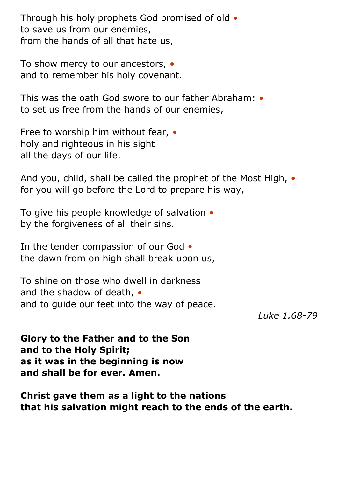Through his holy prophets God promised of old *•* to save us from our enemies, from the hands of all that hate us,

To show mercy to our ancestors, *•* and to remember his holy covenant.

This was the oath God swore to our father Abraham: *•* to set us free from the hands of our enemies,

Free to worship him without fear, *•* holy and righteous in his sight all the days of our life.

And you, child, shall be called the prophet of the Most High, *•* for you will go before the Lord to prepare his way,

To give his people knowledge of salvation *•* by the forgiveness of all their sins.

In the tender compassion of our God *•* the dawn from on high shall break upon us,

To shine on those who dwell in darkness and the shadow of death, *•* and to guide our feet into the way of peace.

*Luke 1.68-79*

**Glory to the Father and to the Son and to the Holy Spirit; as it was in the beginning is now and shall be for ever. Amen.**

**Christ gave them as a light to the nations that his salvation might reach to the ends of the earth.**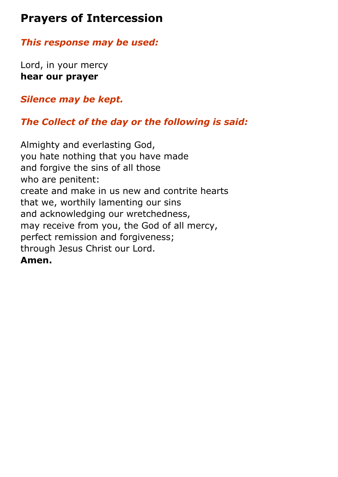# **Prayers of Intercession**

*This response may be used:*

Lord, in your mercy **hear our prayer**

*Silence may be kept.*

## *The Collect of the day or the following is said:*

Almighty and everlasting God, you hate nothing that you have made and forgive the sins of all those who are penitent: create and make in us new and contrite hearts that we, worthily lamenting our sins and acknowledging our wretchedness, may receive from you, the God of all mercy, perfect remission and forgiveness; through Jesus Christ our Lord. **Amen.**